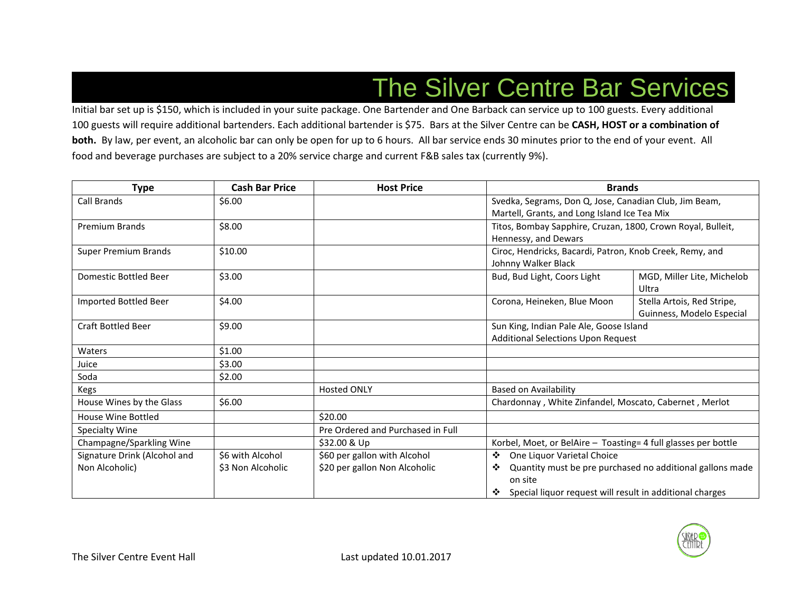# The Silver Centre Bar Services

Initial bar set up is \$150, which is included in your suite package. One Bartender and One Barback can service up to 100 guests. Every additional 100 guests will require additional bartenders. Each additional bartender is \$75. Bars at the Silver Centre can be **CASH, HOST or a combination of both.** By law, per event, an alcoholic bar can only be open for up to 6 hours. All bar service ends 30 minutes prior to the end of your event. All food and beverage purchases are subject to a 20% service charge and current F&B sales tax (currently 9%).

| <b>Type</b>                  | <b>Cash Bar Price</b> | <b>Host Price</b>                 | <b>Brands</b>                                                  |                                                           |
|------------------------------|-----------------------|-----------------------------------|----------------------------------------------------------------|-----------------------------------------------------------|
| <b>Call Brands</b>           | \$6.00                |                                   | Svedka, Segrams, Don Q, Jose, Canadian Club, Jim Beam,         |                                                           |
|                              |                       |                                   | Martell, Grants, and Long Island Ice Tea Mix                   |                                                           |
| <b>Premium Brands</b>        | \$8.00                |                                   | Titos, Bombay Sapphire, Cruzan, 1800, Crown Royal, Bulleit,    |                                                           |
|                              |                       |                                   | Hennessy, and Dewars                                           |                                                           |
| <b>Super Premium Brands</b>  | \$10.00               |                                   | Ciroc, Hendricks, Bacardi, Patron, Knob Creek, Remy, and       |                                                           |
|                              |                       |                                   | Johnny Walker Black                                            |                                                           |
| <b>Domestic Bottled Beer</b> | \$3.00                |                                   | Bud, Bud Light, Coors Light                                    | MGD, Miller Lite, Michelob                                |
|                              |                       |                                   |                                                                | Ultra                                                     |
| Imported Bottled Beer        | \$4.00                |                                   | Corona, Heineken, Blue Moon                                    | Stella Artois, Red Stripe,                                |
|                              |                       |                                   |                                                                | Guinness, Modelo Especial                                 |
| <b>Craft Bottled Beer</b>    | \$9.00                |                                   | Sun King, Indian Pale Ale, Goose Island                        |                                                           |
|                              |                       |                                   | Additional Selections Upon Request                             |                                                           |
| Waters                       | \$1.00                |                                   |                                                                |                                                           |
| Juice                        | \$3.00                |                                   |                                                                |                                                           |
| Soda                         | \$2.00                |                                   |                                                                |                                                           |
| Kegs                         |                       | <b>Hosted ONLY</b>                | <b>Based on Availability</b>                                   |                                                           |
| House Wines by the Glass     | \$6.00                |                                   | Chardonnay, White Zinfandel, Moscato, Cabernet, Merlot         |                                                           |
| House Wine Bottled           |                       | \$20.00                           |                                                                |                                                           |
| Specialty Wine               |                       | Pre Ordered and Purchased in Full |                                                                |                                                           |
| Champagne/Sparkling Wine     |                       | \$32.00 & Up                      | Korbel, Moet, or BelAire - Toasting= 4 full glasses per bottle |                                                           |
| Signature Drink (Alcohol and | \$6 with Alcohol      | \$60 per gallon with Alcohol      | One Liquor Varietal Choice<br>❖                                |                                                           |
| Non Alcoholic)               | \$3 Non Alcoholic     | \$20 per gallon Non Alcoholic     | ❖                                                              | Quantity must be pre purchased no additional gallons made |
|                              |                       |                                   | on site                                                        |                                                           |
|                              |                       |                                   | Special liquor request will result in additional charges<br>❖  |                                                           |